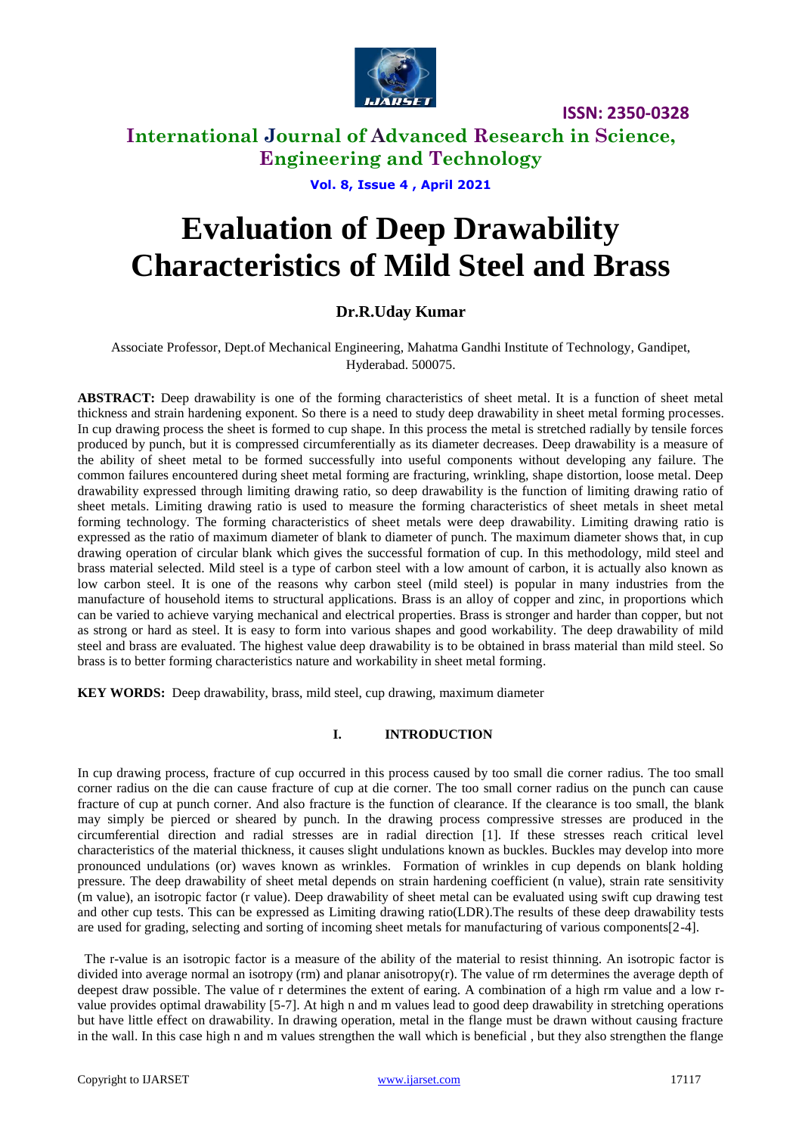

**ISSN: 2350-0328**

# **International Journal of Advanced Research in Science, Engineering and Technology**

**Vol. 8, Issue 4 , April 2021**

# **Evaluation of Deep Drawability Characteristics of Mild Steel and Brass**

# **Dr.R.Uday Kumar**

Associate Professor, Dept.of Mechanical Engineering, Mahatma Gandhi Institute of Technology, Gandipet, Hyderabad. 500075.

**ABSTRACT:** Deep drawability is one of the forming characteristics of sheet metal. It is a function of sheet metal thickness and strain hardening exponent. So there is a need to study deep drawability in sheet metal forming processes. In cup drawing process the sheet is formed to cup shape. In this process the metal is stretched radially by tensile forces produced by punch, but it is compressed circumferentially as its diameter decreases. Deep drawability is a measure of the ability of sheet metal to be formed successfully into useful components without developing any failure. The common failures encountered during sheet metal forming are fracturing, wrinkling, shape distortion, loose metal. Deep drawability expressed through limiting drawing ratio, so deep drawability is the function of limiting drawing ratio of sheet metals. Limiting drawing ratio is used to measure the forming characteristics of sheet metals in sheet metal forming technology. The forming characteristics of sheet metals were deep drawability. Limiting drawing ratio is expressed as the ratio of maximum diameter of blank to diameter of punch. The maximum diameter shows that, in cup drawing operation of circular blank which gives the successful formation of cup. In this methodology, mild steel and brass material selected. Mild steel is a type of carbon steel with a low amount of carbon, it is actually also known as low carbon steel. It is one of the reasons why carbon steel (mild steel) is popular in many industries from the manufacture of household items to structural applications. Brass is an alloy of copper and zinc, in proportions which can be varied to achieve varying mechanical and electrical properties. Brass is stronger and harder than copper, but not as strong or hard as steel. It is easy to form into various shapes and good workability. The deep drawability of mild steel and brass are evaluated. The highest value deep drawability is to be obtained in brass material than mild steel. So brass is to better forming characteristics nature and workability in sheet metal forming.

**KEY WORDS:** Deep drawability, brass, mild steel, cup drawing, maximum diameter

## **I. INTRODUCTION**

In cup drawing process, fracture of cup occurred in this process caused by too small die corner radius. The too small corner radius on the die can cause fracture of cup at die corner. The too small corner radius on the punch can cause fracture of cup at punch corner. And also fracture is the function of clearance. If the clearance is too small, the blank may simply be pierced or sheared by punch. In the drawing process compressive stresses are produced in the circumferential direction and radial stresses are in radial direction [1]. If these stresses reach critical level characteristics of the material thickness, it causes slight undulations known as buckles. Buckles may develop into more pronounced undulations (or) waves known as wrinkles. Formation of wrinkles in cup depends on blank holding pressure. The deep drawability of sheet metal depends on strain hardening coefficient (n value), strain rate sensitivity (m value), an isotropic factor (r value). Deep drawability of sheet metal can be evaluated using swift cup drawing test and other cup tests. This can be expressed as Limiting drawing ratio(LDR).The results of these deep drawability tests are used for grading, selecting and sorting of incoming sheet metals for manufacturing of various components[2-4].

 The r-value is an isotropic factor is a measure of the ability of the material to resist thinning. An isotropic factor is divided into average normal an isotropy (rm) and planar anisotropy(r). The value of rm determines the average depth of deepest draw possible. The value of r determines the extent of earing. A combination of a high rm value and a low rvalue provides optimal drawability [5-7]. At high n and m values lead to good deep drawability in stretching operations but have little effect on drawability. In drawing operation, metal in the flange must be drawn without causing fracture in the wall. In this case high n and m values strengthen the wall which is beneficial , but they also strengthen the flange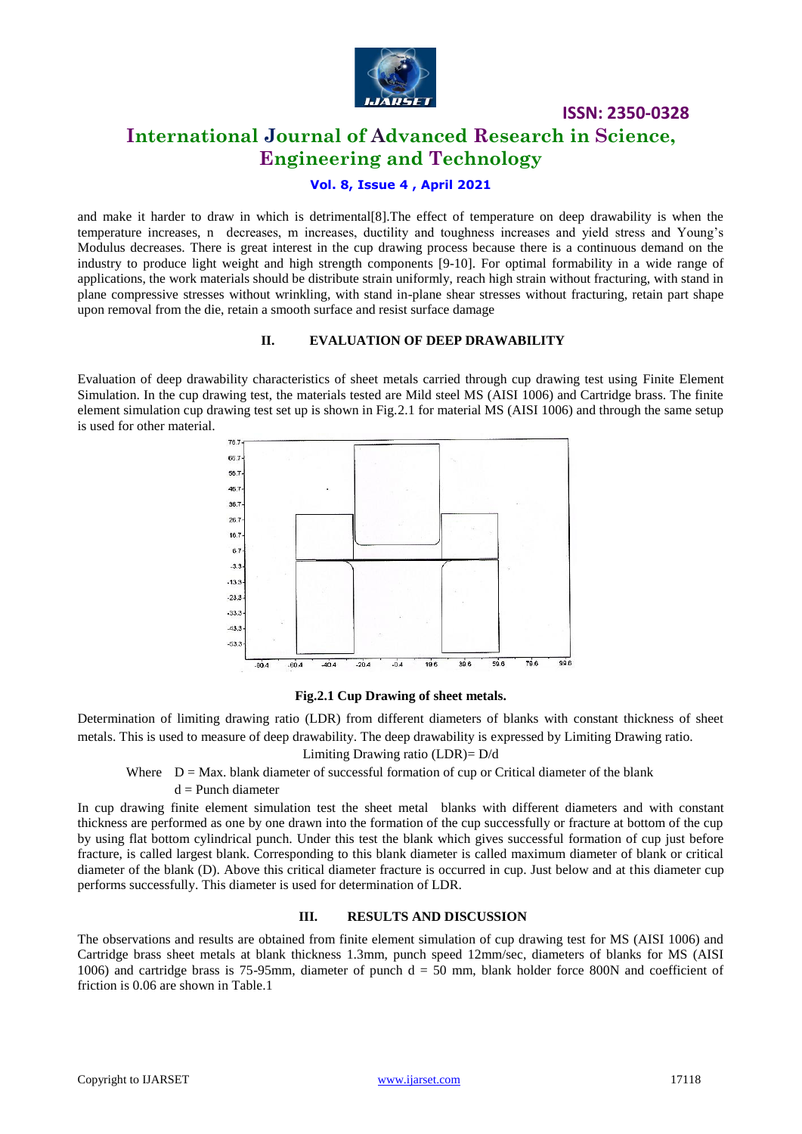

**ISSN: 2350-0328**

# **International Journal of Advanced Research in Science, Engineering and Technology**

# **Vol. 8, Issue 4 , April 2021**

and make it harder to draw in which is detrimental[8].The effect of temperature on deep drawability is when the temperature increases, n decreases, m increases, ductility and toughness increases and yield stress and Young's Modulus decreases. There is great interest in the cup drawing process because there is a continuous demand on the industry to produce light weight and high strength components [9-10]. For optimal formability in a wide range of applications, the work materials should be distribute strain uniformly, reach high strain without fracturing, with stand in plane compressive stresses without wrinkling, with stand in-plane shear stresses without fracturing, retain part shape upon removal from the die, retain a smooth surface and resist surface damage

## **II. EVALUATION OF DEEP DRAWABILITY**

Evaluation of deep drawability characteristics of sheet metals carried through cup drawing test using Finite Element Simulation. In the cup drawing test, the materials tested are Mild steel MS (AISI 1006) and Cartridge brass. The finite element simulation cup drawing test set up is shown in Fig.2.1 for material MS (AISI 1006) and through the same setup is used for other material.



### **Fig.2.1 Cup Drawing of sheet metals.**

Determination of limiting drawing ratio (LDR) from different diameters of blanks with constant thickness of sheet metals. This is used to measure of deep drawability. The deep drawability is expressed by Limiting Drawing ratio.

## Limiting Drawing ratio (LDR)= D/d

Where  $D = Max$ . blank diameter of successful formation of cup or Critical diameter of the blank

#### $d =$  Punch diameter

In cup drawing finite element simulation test the sheet metal blanks with different diameters and with constant thickness are performed as one by one drawn into the formation of the cup successfully or fracture at bottom of the cup by using flat bottom cylindrical punch. Under this test the blank which gives successful formation of cup just before fracture, is called largest blank. Corresponding to this blank diameter is called maximum diameter of blank or critical diameter of the blank (D). Above this critical diameter fracture is occurred in cup. Just below and at this diameter cup performs successfully. This diameter is used for determination of LDR.

#### **III. RESULTS AND DISCUSSION**

The observations and results are obtained from finite element simulation of cup drawing test for MS (AISI 1006) and Cartridge brass sheet metals at blank thickness 1.3mm, punch speed 12mm/sec, diameters of blanks for MS (AISI 1006) and cartridge brass is 75-95mm, diameter of punch  $d = 50$  mm, blank holder force 800N and coefficient of friction is 0.06 are shown in Table.1